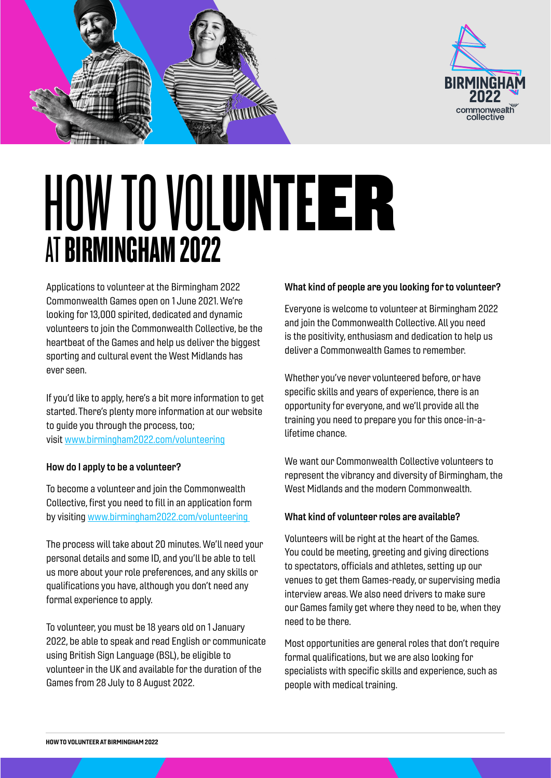



# HOW TO VOLUNTEER AT BIRMINGHAM 2022

Applications to volunteer at the Birmingham 2022 Commonwealth Games open on 1 June 2021. We're looking for 13,000 spirited, dedicated and dynamic volunteers to join the Commonwealth Collective, be the heartbeat of the Games and help us deliver the biggest sporting and cultural event the West Midlands has ever seen.

If you'd like to apply, here's a bit more information to get started. There's plenty more information at our website to guide you through the process, too; visit [www.birmingham2022.com/volunteering](https://www.birmingham2022.com/about-us/our-purpose/our-legacy/volunteering/)

# How do I apply to be a volunteer?

To become a volunteer and join the Commonwealth Collective, first you need to fill in an application form by visiting [www.birmingham2022.com/volunteering](https://www.birmingham2022.com/about-us/our-purpose/our-legacy/volunteering/) 

The process will take about 20 minutes. We'll need your personal details and some ID, and you'll be able to tell us more about your role preferences, and any skills or qualifications you have, although you don't need any formal experience to apply.

To volunteer, you must be 18 years old on 1 January 2022, be able to speak and read English or communicate using British Sign Language (BSL), be eligible to volunteer in the UK and available for the duration of the Games from 28 July to 8 August 2022.

# What kind of people are you looking for to volunteer?

Everyone is welcome to volunteer at Birmingham 2022 and join the Commonwealth Collective. All you need is the positivity, enthusiasm and dedication to help us deliver a Commonwealth Games to remember.

Whether you've never volunteered before, or have specific skills and years of experience, there is an opportunity for everyone, and we'll provide all the training you need to prepare you for this once-in-alifetime chance.

We want our Commonwealth Collective volunteers to represent the vibrancy and diversity of Birmingham, the West Midlands and the modern Commonwealth.

# What kind of volunteer roles are available?

Volunteers will be right at the heart of the Games. You could be meeting, greeting and giving directions to spectators, officials and athletes, setting up our venues to get them Games-ready, or supervising media interview areas. We also need drivers to make sure our Games family get where they need to be, when they need to be there.

Most opportunities are general roles that don't require formal qualifications, but we are also looking for specialists with specific skills and experience, such as people with medical training.